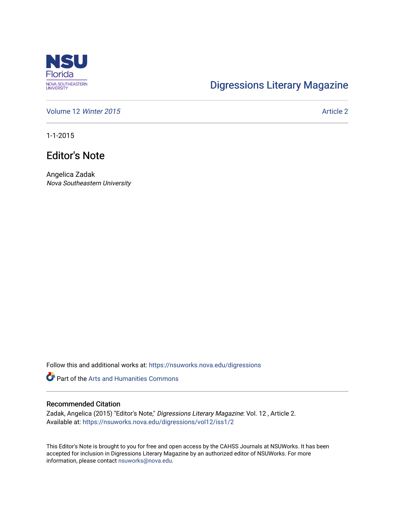

## [Digressions Literary Magazine](https://nsuworks.nova.edu/digressions)

[Volume 12](https://nsuworks.nova.edu/digressions/vol12) Winter 2015 Article 2

1-1-2015

## Editor's Note

Angelica Zadak Nova Southeastern University

Follow this and additional works at: [https://nsuworks.nova.edu/digressions](https://nsuworks.nova.edu/digressions?utm_source=nsuworks.nova.edu%2Fdigressions%2Fvol12%2Fiss1%2F2&utm_medium=PDF&utm_campaign=PDFCoverPages) 

Part of the [Arts and Humanities Commons](http://network.bepress.com/hgg/discipline/438?utm_source=nsuworks.nova.edu%2Fdigressions%2Fvol12%2Fiss1%2F2&utm_medium=PDF&utm_campaign=PDFCoverPages) 

#### Recommended Citation

Zadak, Angelica (2015) "Editor's Note," Digressions Literary Magazine: Vol. 12 , Article 2. Available at: [https://nsuworks.nova.edu/digressions/vol12/iss1/2](https://nsuworks.nova.edu/digressions/vol12/iss1/2?utm_source=nsuworks.nova.edu%2Fdigressions%2Fvol12%2Fiss1%2F2&utm_medium=PDF&utm_campaign=PDFCoverPages) 

This Editor's Note is brought to you for free and open access by the CAHSS Journals at NSUWorks. It has been accepted for inclusion in Digressions Literary Magazine by an authorized editor of NSUWorks. For more information, please contact [nsuworks@nova.edu.](mailto:nsuworks@nova.edu)